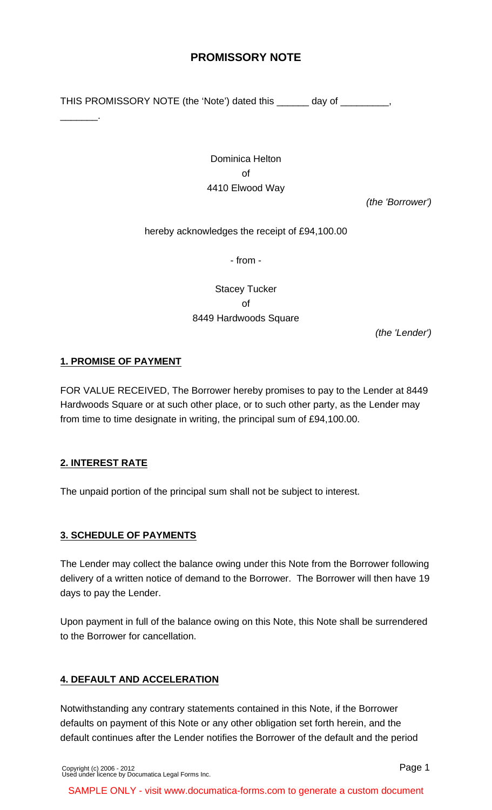# **PROMISSORY NOTE**

THIS PROMISSORY NOTE (the 'Note') dated this \_\_\_\_\_\_ day of \_\_\_\_\_\_\_\_\_,

Dominica Helton of 4410 Elwood Way

(the 'Borrower')

hereby acknowledges the receipt of £94,100.00

- from -

Stacey Tucker of 8449 Hardwoods Square

(the 'Lender')

# **1. PROMISE OF PAYMENT**

\_\_\_\_\_\_\_.

FOR VALUE RECEIVED, The Borrower hereby promises to pay to the Lender at 8449 Hardwoods Square or at such other place, or to such other party, as the Lender may from time to time designate in writing, the principal sum of £94,100.00.

# **2. INTEREST RATE**

The unpaid portion of the principal sum shall not be subject to interest.

# **3. SCHEDULE OF PAYMENTS**

The Lender may collect the balance owing under this Note from the Borrower following delivery of a written notice of demand to the Borrower. The Borrower will then have 19 days to pay the Lender.

Upon payment in full of the balance owing on this Note, this Note shall be surrendered to the Borrower for cancellation.

# **4. DEFAULT AND ACCELERATION**

Notwithstanding any contrary statements contained in this Note, if the Borrower defaults on payment of this Note or any other obligation set forth herein, and the default continues after the Lender notifies the Borrower of the default and the period

[Copyright \(c\) 2006 - 2012](http://www.documatica-forms.com) [Used under licence by Documatica Legal Forms Inc.](http://www.documatica-forms.com) Page 1

SAMPLE ONLY - visit www.documatica-forms.com to generate a custom document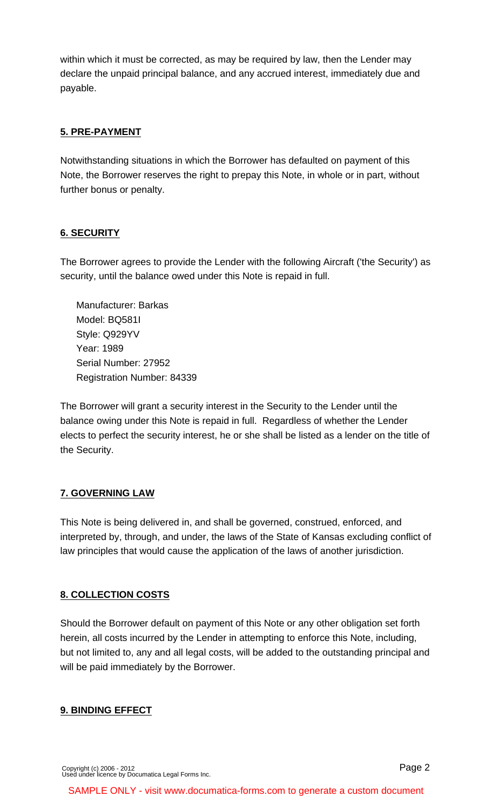within which it must be corrected, as may be required by law, then the Lender may declare the unpaid principal balance, and any accrued interest, immediately due and payable.

# **5. PRE-PAYMENT**

Notwithstanding situations in which the Borrower has defaulted on payment of this Note, the Borrower reserves the right to prepay this Note, in whole or in part, without further bonus or penalty.

#### **6. SECURITY**

The Borrower agrees to provide the Lender with the following Aircraft ('the Security') as security, until the balance owed under this Note is repaid in full.

Manufacturer: Barkas Model: BQ581I Style: Q929YV Year: 1989 Serial Number: 27952 Registration Number: 84339

The Borrower will grant a security interest in the Security to the Lender until the balance owing under this Note is repaid in full. Regardless of whether the Lender elects to perfect the security interest, he or she shall be listed as a lender on the title of the Security.

#### **7. GOVERNING LAW**

This Note is being delivered in, and shall be governed, construed, enforced, and interpreted by, through, and under, the laws of the State of Kansas excluding conflict of law principles that would cause the application of the laws of another jurisdiction.

#### **8. COLLECTION COSTS**

Should the Borrower default on payment of this Note or any other obligation set forth herein, all costs incurred by the Lender in attempting to enforce this Note, including, but not limited to, any and all legal costs, will be added to the outstanding principal and will be paid immediately by the Borrower.

#### **9. BINDING EFFECT**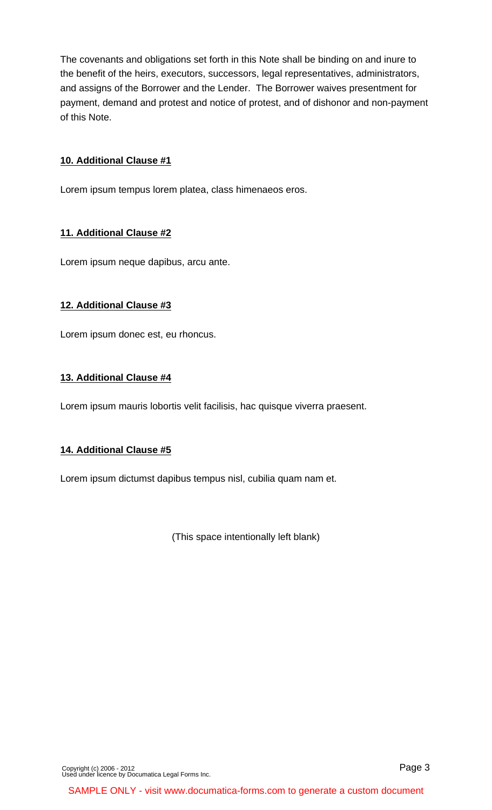The covenants and obligations set forth in this Note shall be binding on and inure to the benefit of the heirs, executors, successors, legal representatives, administrators, and assigns of the Borrower and the Lender. The Borrower waives presentment for payment, demand and protest and notice of protest, and of dishonor and non-payment of this Note.

#### **10. Additional Clause #1**

Lorem ipsum tempus lorem platea, class himenaeos eros.

#### **11. Additional Clause #2**

Lorem ipsum neque dapibus, arcu ante.

#### **12. Additional Clause #3**

Lorem ipsum donec est, eu rhoncus.

#### **13. Additional Clause #4**

Lorem ipsum mauris lobortis velit facilisis, hac quisque viverra praesent.

# **14. Additional Clause #5**

Lorem ipsum dictumst dapibus tempus nisl, cubilia quam nam et.

(This space intentionally left blank)